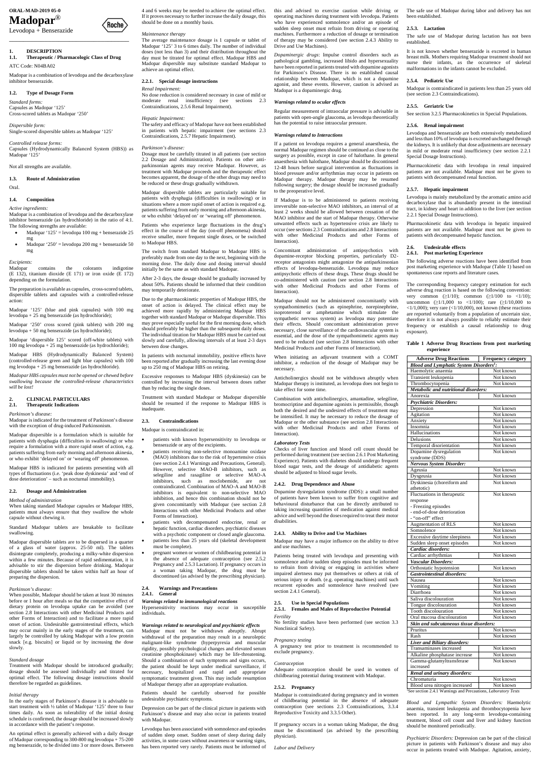# **ORAL-MAD-2019 05-0 Madopar**®

Levodopa + Benserazide

\_\_\_\_\_\_\_\_\_\_\_\_\_\_\_\_\_\_\_\_\_\_\_\_\_\_\_\_\_\_\_\_\_\_

## **1. DESCRIPTION**

**1.1. Therapeutic / Pharmacologic Class of Drug** ATC Code: N04BA02

Madopar is a combination of levodopa and the decarboxylase inhibitor benserazide.

*Controlled release forms:* Capsules (Hydrodynamically Balanced System (HBS)) as Madopar '125'

## **1.2. Type of Dosage Form**

*Standard forms:* Capsules as Madopar '125' Cross-scored tablets as Madopar '250'

*Dispersible form:* Single-scored dispersible tablets as Madopar '125'

- $Madopar '125' = levodopa 100 mg + benserazide 25$ mg
- Madopar ' $250$ ' = levodopa 200 mg + benserazide 50 mg

# Not all strengths are available.

**1.3. Route of Administration**

Oral.

### **1.4. Composition**

*Active ingredients:*

Madopar is a combination of levodopa and the decarboxylase inhibitor benserazide (as hydrochloride) in the ratio of 4:1. The following strengths are available:

## *Excipients:*

Madopar contains the colorants indigotine (E 132), titanium dioxide (E 171) or iron oxide (E 172) depending on the formulation.

The preparation is available as capsules, cross-scored tablets, dispersible tablets and capsules with a controlled-release action:

Madopar '125' (blue and pink capsules) with 100 mg levodopa + 25 mg benserazide (as hydrochloride);

Madopar '250' cross scored (pink tablets) with 200 mg levodopa + 50 mg benserazide (as hydrochloride);

Madopar 'dispersible 125' scored (off-white tablets) with 100 mg levodopa + 25 mg benserazide (as hydrochloride);

Madopar HBS (Hydrodynamically Balanced System) (controlled-release green and light blue capsules) with 100 mg levodopa + 25 mg benserazide (as hydrochloride).

*Madopar HBS capsules must not be opened or chewed before swallowing because the controlled-release characteristics will be lost!*

## **2. CLINICAL PARTICULARS 2.1. Therapeutic Indications**

*Parkinson's disease:*

Madopar is indicated for the treatment of Parkinson's disease with the exception of drug-induced Parkinsonism.

Madopar dispersible is a formulation which is suitable for patients with dysphagia (difficulties in swallowing) or who require a formulation with a more rapid onset of action, e.g. patients suffering from early morning and afternoon akinesia, or who exhibit 'delayed on' or 'wearing off' phenomenon.

Madopar HBS is indicated for patients presenting with all types of fluctuations (i.e. 'peak dose dyskinesia' and 'end of dose deterioration' – such as nocturnal immobility).

## **2.2. Dosage and Administration**

## *Method of administration*

When taking standard Madopar capsules or Madopar HBS, patients must always ensure that they swallow the whole capsule without chewing it.

Standard Madopar tablets are breakable to facilitate swallowing.

Madopar dispersible tablets are to be dispersed in a quarter of a glass of water (approx. 25-50 ml). The tablets disintegrate completely, producing a milky-white dispersion within a few minutes. Because of rapid sedimentation, it is advisable to stir the dispersion before drinking. Madopar dispersible tablets should be taken within half an hour of

preparing the dispersion.

#### *Parkinson's disease:*

When possible, Madopar should be taken at least 30 minutes before or 1 hour after meals so that the competitive effect of dietary protein on levodopa uptake can be avoided (see section 2.8 Interactions with other Medicinal Products and other Forms of Interaction) and to facilitate a more rapid onset of action. Undesirable gastrointestinal effects, which may occur mainly in the early stages of the treatment, can largely be controlled by taking Madopar with a low protein snack [e.g. biscuits] or liquid or by increasing the dose slowly.

## *Standard dosage*

Treatment with Madopar should be introduced gradually; dosage should be assessed individually and titrated for optimal effect. The following dosage instructions should therefore be regarded as guidelines.

#### *Initial therapy*

In the early stages of Parkinson's disease it is advisable to start treatment with ½ tablet of Madopar '125' three to four times daily. As soon as tolerability of the initial dosing schedule is confirmed, the dosage should be increased slowly in accordance with the patient's response.

An optimal effect is generally achieved with a daily dosage of Madopar corresponding to 300-800 mg levodopa + 75-200 mg benserazide, to be divided into 3 or more doses. Between

- patients with known hypersensitivity to levodopa or benserazide or any of the excipients.
- patients receiving non-selective monoamine oxidase (MAO) inhibitors due to the risk of hypertensive crisis (see section 2.4.1 Warnings and Precautions, General). However, selective MAO-B inhibitors, such as selegiline and rasagiline or selective MAO-A inhibitors, such as moclobemide, are not contraindicated. Combination of MAO-A and MAO-B inhibitors is equivalent to non-selective MAO inhibition, and hence this combination should not be given concomitantly with Madopar (see section 2.8 Interactions with other Medicinal Products and other Forms of Interaction).
- patients with decompensated endocrine, renal or hepatic function, cardiac disorders, psychiatric diseases with a psychotic component or closed angle glaucoma. patients less than 25 years old (skeletal development must be complete).
- pregnant women or women of childbearing potential in the absence of adequate contraception (see 2.5.2 Pregnancy and 2.5.3 Lactation). If pregnancy occurs in a woman taking Madopar, the drug must be

4 and 6 weeks may be needed to achieve the optimal effect. If it proves necessary to further increase the daily dosage, this should be done on a monthly basis.

## *Maintenance therapy*

Roche)

The average maintenance dosage is 1 capsule or tablet of Madopar '125' 3 to 6 times daily. The number of individual doses (not less than 3) and their distribution throughout the day must be titrated for optimal effect. Madopar HBS and Madopar dispersible may substitute standard Madopar to achieve an optimal effect.

# **2.2.1. Special dosage instructions**

*Renal Impairment:*

No dose reduction is considered necessary in case of mild or moderate renal insufficiency (see sections 2.3 Contraindications, 2.5.6 Renal Impairment).

## *Hepatic Impairment:*

The safety and efficacy of Madopar have not been established in patients with hepatic impairment (see sections 2.3 Contraindications, 2.5.7 Hepatic Impairment).

#### *Parkinson's disease:*

Dosage must be carefully titrated in all patients (see section 2.2 Dosage and Administration). Patients on other antiparkinsonian agents may receive Madopar. However, as treatment with Madopar proceeds and the therapeutic effect becomes apparent, the dosage of the other drugs may need to be reduced or these drugs gradually withdrawn.

Madopar dispersible tablets are particularly suitable for patients with dysphagia (difficulties in swallowing) or in situations where a more rapid onset of action is required e.g. patients suffering from early morning and afternoon akinesia, or who exhibit 'delayed on' or 'wearing off' phenomenon.

Patients who experience large fluctuations in the drug's effect in the course of the day (on-off phenomena) should receive smaller, more frequent single doses, or be switched to Madopar HBS.

The switch from standard Madopar to Madopar HBS is preferably made from one day to the next, beginning with the morning dose. The daily dose and dosing interval should initially be the same as with standard Madopar.

After 2-3 days, the dosage should be gradually increased by about 50%. Patients should be informed that their condition may temporarily deteriorate.

Due to the pharmacokinetic properties of Madopar HBS, the onset of action is delayed. The clinical effect may be achieved more rapidly by administering Madopar HBS together with standard Madopar or Madopar dispersible. This may prove especially useful for the first morning dose, which should preferably be higher than the subsequent daily doses. The individual titration for Madopar HBS must be carried out slowly and carefully, allowing intervals of at least 2-3 days between dose changes.

> Dopamine dysregulation syndrome (DDS): a small number of patients have been known to suffer from cognitive and behavioural disturbance that can be directly attributed to taking increasing quantities of medication against medical advice and well beyond the doses required to treat their motor disabilities

In patients with nocturnal immobility, positive effects have been reported after gradually increasing the last evening dose up to 250 mg of Madopar HBS on retiring.

Excessive responses to Madopar HBS (dyskinesia) can be controlled by increasing the interval between doses rather than by reducing the single doses.

Treatment with standard Madopar or Madopar dispersible should be resumed if the response to Madopar HBS is inadequate.

# **2.3. Contraindications**

Madopar is contraindicated in:

discontinued (as advised by the prescribing physician).

#### **2.4. Warnings and Precautions**

## **2.4.1. General**

## *Warnings related to immunological reactions*

Hypersensitivity reactions may occur in susceptible individuals.

## *Warnings related to neurological and psychiatric effects*

Madopar must not be withdrawn abruptly. Abrupt withdrawal of the preparation may result in a neuroleptic malignant-like syndrome (hyperpyrexia and muscular rigidity, possibly psychological changes and elevated serum creatinine phosphokinase) which may be life-threatening. Should a combination of such symptoms and signs occurs, the patient should be kept under medical surveillance, if necessary, hospitalized and rapid and appropriate symptomatic treatment given. This may include resumption of Madopar therapy after an appropriate evaluation.

Patients should be carefully observed for possible undesirable psychiatric symptoms.

Depression can be part of the clinical picture in patients with Parkinson's disease and may also occur in patients treated with Madopar.

Levodopa has been associated with somnolence and episodes of sudden sleep onset. Sudden onset of sleep during daily activities, in some cases without awareness or warning signs, has been reported very rarely. Patients must be informed of this and advised to exercise caution while driving or operating machines during treatment with levodopa. Patients who have experienced somnolence and/or an episode of sudden sleep onset must refrain from driving or operating machines. Furthermore a reduction of dosage or termination of therapy may be considered (see section 2.4.3 Ability to Drive and Use Machines).

*Dopaminergic drugs*: Impulse control disorders such as pathological gambling, increased libido and hypersexuality have been reported in patients treated with dopamine agonists for Parkinson's Disease. There is no established causal relationship between Madopar, which is not a dopamine agonist, and these events. However, caution is advised as Madopar is a dopaminergic drug.

### *Warnings related to ocular effects*

Regular measurement of intraocular pressure is advisable in patients with open-angle glaucoma, as levodopa theoretically has the potential to raise intraocular pressure.

#### *Warnings related to Interactions*

If a patient on levodopa requires a general anaesthesia, the normal Madopar regimen should be continued as close to the surgery as possible, except in case of halothane. In general anaesthesia with halothane, Madopar should be discontinued 12-48 hours before surgical intervention as fluctuations in blood pressure and/or arrhythmias may occur in patients on Madopar therapy. Madopar therapy may be resumed following surgery; the dosage should be increased gradually to the preoperative level.

If Madopar is to be administered to patients receiving irreversible non-selective MAO inhibitors, an interval of at least 2 weeks should be allowed between cessation of the MAO inhibitor and the start of Madopar therapy. Otherwise unwanted effects such as hypertensive crisis are likely to occur (see sections 2.3 Contraindications and 2.8 Interactions with other Medicinal Products and other Forms of Interaction).

Concomitant administration of antipsychotics with dopamine-receptor blocking properties, particularly D2 receptor antagonists might antagonize the antiparkinsonian effects of levodopa-benserazide. Levodopa may reduce antipsychotic effects of these drugs. These drugs should be co-administered with caution (see section 2.8 Interactions with other Medicinal Products and other Forms of Interaction).

Madopar should not be administered concomitantly with sympathomimetics (such as epinephrine, norepinephrine, isoproterenol or amphetamine which stimulate the sympathetic nervous system) as levodopa may potentiate their effects. Should concomitant administration prove necessary, close surveillance of the cardiovascular system is essential, and the dose of the sympathomimetic agents may need to be reduced (see section 2.8 Interactions with other Medicinal Products and other Forms of Interaction).

When initiating an adjuvant treatment with a COMT inhibitor, a reduction of the dosage of Madopar may be necessary.

Anticholinergics should not be withdrawn abruptly when Madopar therapy is instituted, as levodopa does not begin to take effect for some time.

Combination with anticholinergics, amantadine, selegiline, bromocriptine and dopamine agonists is permissible, though both the desired and the undesired effects of treatment may be intensified. It may be necessary to reduce the dosage of Madopar or the other substance (see section 2.8 Interactions with other Medicinal Products and other Forms of Interaction).

#### *Laboratory Tests*

Checks of liver function and blood cell count should be performed during treatment (see section 2.6.1 Post Marketing Experience). Patients with diabetes should undergo frequent blood sugar tests, and the dosage of antidiabetic agents should be adjusted to blood sugar levels.

## **2.4.2. Drug Dependence and Abuse**

## **2.4.3. Ability to Drive and Use Machines**

Madopar may have a major influence on the ability to drive and use machines.

Patients being treated with levodopa and presenting with somnolence and/or sudden sleep episodes must be informed to refrain from driving or engaging in activities where impaired alertness may put themselves or others at risk of serious injury or death. (e.g. operating machines) until such recurrent episodes and somnolence have resolved (see

section 2.4.1 General).

## **2.5. Use in Special Populations**

## **2.5.1. Females and Males of Reproductive Potential**

## *Fertility*

No fertility studies have been performed (see section 3.3 Nonclinical Safety).

## *Pregnancy testing*

A pregnancy test prior to treatment is recommended to exclude pregnancy.

#### *Contraception*

Adequate contraception should be used in women of childbearing potential during treatment with Madopar.

## **2.5.2. Pregnancy**

Madopar is contraindicated during pregnancy and in women of childbearing potential in the absence of adequate contraception (see sections 2.3 Contraindications, 3.3.4 Reproductive Toxicity and 3.3.5 Other).

If pregnancy occurs in a woman taking Madopar, the drug must be discontinued (as advised by the prescribing physician).

*Labor and Delivery*

The safe use of Madopar during labor and delivery has not been established.

## **2.5.3. Lactation**

The safe use of Madopar during lactation has not been established.

It is not known whether benserazide is excreted in human breast milk. Mothers requiring Madopar treatment should not nurse their infants, as the occurrence of skeletal malformations in the infants cannot be excluded.

## **2.5.4. Pediatric Use**

Madopar is contraindicated in patients less than 25 years old (see section 2.3 Contraindications).

#### **2.5.5. Geriatric Use**

See section 3.2.5 Pharmacokinetics in Special Populations.

## **2.5.6. Renal impairment**

Levodopa and benserazide are both extensively metabolized and less than 10% of levodopa is excreted unchanged through the kidneys. It is unlikely that dose adjustments are necessary in mild or moderate renal insufficiency (see section 2.2.1 Special Dosage Instructions).

Pharmacokinetic data with levodopa in renal impaired patients are not available. Madopar must not be given to patients with decompensated renal function.

## **2.5.7. Hepatic impairment**

Levodopa is mainly metabolized by the aromatic amino acid decarboxylase that is abundantly present in the intestinal tract, in kidney and heart in addition to the liver (see section 2.2.1 Special Dosage Instructions).

Pharmacokinetic data with levodopa in hepatic impaired patients are not available. Madopar must not be given to patients with decompensated hepatic function.

# **2.6. Undesirable effects**

# **2.6.1. Post marketing Experience**

The following adverse reactions have been identified from post marketing experience with Madopar (Table 1) based on spontaneous case reports and literature cases.

The corresponding frequency category estimation for each adverse drug reaction is based on the following convention: very common  $(\geq 1/10)$ ; common  $(\geq 1/100$  to <1/10); uncommon  $(\geq 1/1,000 \text{ to } <1/100)$ ; rare  $(\geq 1/10,000 \text{ to }$  $\langle 1/1,000 \rangle$ ; very rare ( $\langle 1/10,000 \rangle$ , not known (these reactions are reported voluntarily from a population of uncertain size, therefore it is not always possible to reliably estimate their frequency or establish a causal relationship to drug exposure).

#### **Table 1 Adverse Drug Reactions from post marketing experience**

| <b>Blood and Lymphatic System Disorders<sup>1</sup></b> :<br>Haemolytic anaemia<br>Not known<br>Transient leukopenia<br>Not known<br>Thrombocytopenia<br>Not known<br>Metabolic and nutritional disorders:<br>Not known<br>Anorexia<br><b>Psychiatric Disorders:</b><br>Depression<br>Not known<br>Agitation<br>Not known<br>Not known<br>Anxiety<br>Insomnia<br>Not known<br>Hallucinations<br>Not known<br>Delusions<br>Not known<br>Temporal disorientation<br>Not known<br>Dopamine dysregulation<br>Not known<br>syndrome (DDS)<br><b>Nervous System Disorder:</b><br>Ageusia<br>Not known<br>Not known<br>Dysgeusia<br>Dyskinesia (choreiform and<br>Not known<br>athetotic)<br>Fluctuations in therapeutic<br>Not known<br>response<br>- Freezing episodes<br>- end-of-dose deterioration<br>- "on-off" effect<br><b>Augmentation of RLS</b><br>Not known<br>Not known<br>Somnolence<br>Excessive daytime sleepiness<br>Not known<br>Sudden sleep onset episodes<br>Not known<br>Cardiac disorders:<br>Cardiac arrhythmias<br>Not known<br>Vascular Disorders:<br>Orthostatic hypotension<br>Not known<br><b>Gastrointestinal disorders:</b><br>Nausea<br>Not known<br>Not known<br>Vomiting<br>Diarrhoea<br>Not known<br>Saliva discolouration<br>Not known<br>Tongue discolouration<br>Not known<br>Tooth discolouration<br>Not known<br>Oral mucosa discolouration<br>Not known<br>Skin and subcutaneous tissue disorders:<br>Pruritus<br>Not known<br>Not known<br>Rash<br>Liver and Biliary disorders:<br>Transaminases increased<br>Not known<br>Alkaline phosphatase increase<br>Not known<br>Gamma-glutamyltransferase<br>Not known<br>increased<br>Renal and urinary disorders:<br>Chromaturia<br>Not known<br>Not known | <b>Adverse Drug Reactions</b> | <b>Frequency category</b> |  |
|------------------------------------------------------------------------------------------------------------------------------------------------------------------------------------------------------------------------------------------------------------------------------------------------------------------------------------------------------------------------------------------------------------------------------------------------------------------------------------------------------------------------------------------------------------------------------------------------------------------------------------------------------------------------------------------------------------------------------------------------------------------------------------------------------------------------------------------------------------------------------------------------------------------------------------------------------------------------------------------------------------------------------------------------------------------------------------------------------------------------------------------------------------------------------------------------------------------------------------------------------------------------------------------------------------------------------------------------------------------------------------------------------------------------------------------------------------------------------------------------------------------------------------------------------------------------------------------------------------------------------------------------------------------------------------------------------------------------------------------|-------------------------------|---------------------------|--|
|                                                                                                                                                                                                                                                                                                                                                                                                                                                                                                                                                                                                                                                                                                                                                                                                                                                                                                                                                                                                                                                                                                                                                                                                                                                                                                                                                                                                                                                                                                                                                                                                                                                                                                                                          |                               |                           |  |
|                                                                                                                                                                                                                                                                                                                                                                                                                                                                                                                                                                                                                                                                                                                                                                                                                                                                                                                                                                                                                                                                                                                                                                                                                                                                                                                                                                                                                                                                                                                                                                                                                                                                                                                                          |                               |                           |  |
|                                                                                                                                                                                                                                                                                                                                                                                                                                                                                                                                                                                                                                                                                                                                                                                                                                                                                                                                                                                                                                                                                                                                                                                                                                                                                                                                                                                                                                                                                                                                                                                                                                                                                                                                          |                               |                           |  |
|                                                                                                                                                                                                                                                                                                                                                                                                                                                                                                                                                                                                                                                                                                                                                                                                                                                                                                                                                                                                                                                                                                                                                                                                                                                                                                                                                                                                                                                                                                                                                                                                                                                                                                                                          |                               |                           |  |
|                                                                                                                                                                                                                                                                                                                                                                                                                                                                                                                                                                                                                                                                                                                                                                                                                                                                                                                                                                                                                                                                                                                                                                                                                                                                                                                                                                                                                                                                                                                                                                                                                                                                                                                                          |                               |                           |  |
|                                                                                                                                                                                                                                                                                                                                                                                                                                                                                                                                                                                                                                                                                                                                                                                                                                                                                                                                                                                                                                                                                                                                                                                                                                                                                                                                                                                                                                                                                                                                                                                                                                                                                                                                          |                               |                           |  |
|                                                                                                                                                                                                                                                                                                                                                                                                                                                                                                                                                                                                                                                                                                                                                                                                                                                                                                                                                                                                                                                                                                                                                                                                                                                                                                                                                                                                                                                                                                                                                                                                                                                                                                                                          |                               |                           |  |
|                                                                                                                                                                                                                                                                                                                                                                                                                                                                                                                                                                                                                                                                                                                                                                                                                                                                                                                                                                                                                                                                                                                                                                                                                                                                                                                                                                                                                                                                                                                                                                                                                                                                                                                                          |                               |                           |  |
|                                                                                                                                                                                                                                                                                                                                                                                                                                                                                                                                                                                                                                                                                                                                                                                                                                                                                                                                                                                                                                                                                                                                                                                                                                                                                                                                                                                                                                                                                                                                                                                                                                                                                                                                          |                               |                           |  |
|                                                                                                                                                                                                                                                                                                                                                                                                                                                                                                                                                                                                                                                                                                                                                                                                                                                                                                                                                                                                                                                                                                                                                                                                                                                                                                                                                                                                                                                                                                                                                                                                                                                                                                                                          |                               |                           |  |
|                                                                                                                                                                                                                                                                                                                                                                                                                                                                                                                                                                                                                                                                                                                                                                                                                                                                                                                                                                                                                                                                                                                                                                                                                                                                                                                                                                                                                                                                                                                                                                                                                                                                                                                                          |                               |                           |  |
|                                                                                                                                                                                                                                                                                                                                                                                                                                                                                                                                                                                                                                                                                                                                                                                                                                                                                                                                                                                                                                                                                                                                                                                                                                                                                                                                                                                                                                                                                                                                                                                                                                                                                                                                          |                               |                           |  |
|                                                                                                                                                                                                                                                                                                                                                                                                                                                                                                                                                                                                                                                                                                                                                                                                                                                                                                                                                                                                                                                                                                                                                                                                                                                                                                                                                                                                                                                                                                                                                                                                                                                                                                                                          |                               |                           |  |
|                                                                                                                                                                                                                                                                                                                                                                                                                                                                                                                                                                                                                                                                                                                                                                                                                                                                                                                                                                                                                                                                                                                                                                                                                                                                                                                                                                                                                                                                                                                                                                                                                                                                                                                                          |                               |                           |  |
|                                                                                                                                                                                                                                                                                                                                                                                                                                                                                                                                                                                                                                                                                                                                                                                                                                                                                                                                                                                                                                                                                                                                                                                                                                                                                                                                                                                                                                                                                                                                                                                                                                                                                                                                          |                               |                           |  |
|                                                                                                                                                                                                                                                                                                                                                                                                                                                                                                                                                                                                                                                                                                                                                                                                                                                                                                                                                                                                                                                                                                                                                                                                                                                                                                                                                                                                                                                                                                                                                                                                                                                                                                                                          |                               |                           |  |
|                                                                                                                                                                                                                                                                                                                                                                                                                                                                                                                                                                                                                                                                                                                                                                                                                                                                                                                                                                                                                                                                                                                                                                                                                                                                                                                                                                                                                                                                                                                                                                                                                                                                                                                                          |                               |                           |  |
|                                                                                                                                                                                                                                                                                                                                                                                                                                                                                                                                                                                                                                                                                                                                                                                                                                                                                                                                                                                                                                                                                                                                                                                                                                                                                                                                                                                                                                                                                                                                                                                                                                                                                                                                          |                               |                           |  |
|                                                                                                                                                                                                                                                                                                                                                                                                                                                                                                                                                                                                                                                                                                                                                                                                                                                                                                                                                                                                                                                                                                                                                                                                                                                                                                                                                                                                                                                                                                                                                                                                                                                                                                                                          |                               |                           |  |
|                                                                                                                                                                                                                                                                                                                                                                                                                                                                                                                                                                                                                                                                                                                                                                                                                                                                                                                                                                                                                                                                                                                                                                                                                                                                                                                                                                                                                                                                                                                                                                                                                                                                                                                                          |                               |                           |  |
|                                                                                                                                                                                                                                                                                                                                                                                                                                                                                                                                                                                                                                                                                                                                                                                                                                                                                                                                                                                                                                                                                                                                                                                                                                                                                                                                                                                                                                                                                                                                                                                                                                                                                                                                          |                               |                           |  |
|                                                                                                                                                                                                                                                                                                                                                                                                                                                                                                                                                                                                                                                                                                                                                                                                                                                                                                                                                                                                                                                                                                                                                                                                                                                                                                                                                                                                                                                                                                                                                                                                                                                                                                                                          |                               |                           |  |
|                                                                                                                                                                                                                                                                                                                                                                                                                                                                                                                                                                                                                                                                                                                                                                                                                                                                                                                                                                                                                                                                                                                                                                                                                                                                                                                                                                                                                                                                                                                                                                                                                                                                                                                                          |                               |                           |  |
|                                                                                                                                                                                                                                                                                                                                                                                                                                                                                                                                                                                                                                                                                                                                                                                                                                                                                                                                                                                                                                                                                                                                                                                                                                                                                                                                                                                                                                                                                                                                                                                                                                                                                                                                          |                               |                           |  |
|                                                                                                                                                                                                                                                                                                                                                                                                                                                                                                                                                                                                                                                                                                                                                                                                                                                                                                                                                                                                                                                                                                                                                                                                                                                                                                                                                                                                                                                                                                                                                                                                                                                                                                                                          |                               |                           |  |
|                                                                                                                                                                                                                                                                                                                                                                                                                                                                                                                                                                                                                                                                                                                                                                                                                                                                                                                                                                                                                                                                                                                                                                                                                                                                                                                                                                                                                                                                                                                                                                                                                                                                                                                                          |                               |                           |  |
|                                                                                                                                                                                                                                                                                                                                                                                                                                                                                                                                                                                                                                                                                                                                                                                                                                                                                                                                                                                                                                                                                                                                                                                                                                                                                                                                                                                                                                                                                                                                                                                                                                                                                                                                          |                               |                           |  |
|                                                                                                                                                                                                                                                                                                                                                                                                                                                                                                                                                                                                                                                                                                                                                                                                                                                                                                                                                                                                                                                                                                                                                                                                                                                                                                                                                                                                                                                                                                                                                                                                                                                                                                                                          |                               |                           |  |
|                                                                                                                                                                                                                                                                                                                                                                                                                                                                                                                                                                                                                                                                                                                                                                                                                                                                                                                                                                                                                                                                                                                                                                                                                                                                                                                                                                                                                                                                                                                                                                                                                                                                                                                                          |                               |                           |  |
|                                                                                                                                                                                                                                                                                                                                                                                                                                                                                                                                                                                                                                                                                                                                                                                                                                                                                                                                                                                                                                                                                                                                                                                                                                                                                                                                                                                                                                                                                                                                                                                                                                                                                                                                          |                               |                           |  |
|                                                                                                                                                                                                                                                                                                                                                                                                                                                                                                                                                                                                                                                                                                                                                                                                                                                                                                                                                                                                                                                                                                                                                                                                                                                                                                                                                                                                                                                                                                                                                                                                                                                                                                                                          |                               |                           |  |
|                                                                                                                                                                                                                                                                                                                                                                                                                                                                                                                                                                                                                                                                                                                                                                                                                                                                                                                                                                                                                                                                                                                                                                                                                                                                                                                                                                                                                                                                                                                                                                                                                                                                                                                                          |                               |                           |  |
|                                                                                                                                                                                                                                                                                                                                                                                                                                                                                                                                                                                                                                                                                                                                                                                                                                                                                                                                                                                                                                                                                                                                                                                                                                                                                                                                                                                                                                                                                                                                                                                                                                                                                                                                          |                               |                           |  |
|                                                                                                                                                                                                                                                                                                                                                                                                                                                                                                                                                                                                                                                                                                                                                                                                                                                                                                                                                                                                                                                                                                                                                                                                                                                                                                                                                                                                                                                                                                                                                                                                                                                                                                                                          |                               |                           |  |
|                                                                                                                                                                                                                                                                                                                                                                                                                                                                                                                                                                                                                                                                                                                                                                                                                                                                                                                                                                                                                                                                                                                                                                                                                                                                                                                                                                                                                                                                                                                                                                                                                                                                                                                                          |                               |                           |  |
|                                                                                                                                                                                                                                                                                                                                                                                                                                                                                                                                                                                                                                                                                                                                                                                                                                                                                                                                                                                                                                                                                                                                                                                                                                                                                                                                                                                                                                                                                                                                                                                                                                                                                                                                          |                               |                           |  |
|                                                                                                                                                                                                                                                                                                                                                                                                                                                                                                                                                                                                                                                                                                                                                                                                                                                                                                                                                                                                                                                                                                                                                                                                                                                                                                                                                                                                                                                                                                                                                                                                                                                                                                                                          |                               |                           |  |
|                                                                                                                                                                                                                                                                                                                                                                                                                                                                                                                                                                                                                                                                                                                                                                                                                                                                                                                                                                                                                                                                                                                                                                                                                                                                                                                                                                                                                                                                                                                                                                                                                                                                                                                                          |                               |                           |  |
|                                                                                                                                                                                                                                                                                                                                                                                                                                                                                                                                                                                                                                                                                                                                                                                                                                                                                                                                                                                                                                                                                                                                                                                                                                                                                                                                                                                                                                                                                                                                                                                                                                                                                                                                          |                               |                           |  |
|                                                                                                                                                                                                                                                                                                                                                                                                                                                                                                                                                                                                                                                                                                                                                                                                                                                                                                                                                                                                                                                                                                                                                                                                                                                                                                                                                                                                                                                                                                                                                                                                                                                                                                                                          |                               |                           |  |
|                                                                                                                                                                                                                                                                                                                                                                                                                                                                                                                                                                                                                                                                                                                                                                                                                                                                                                                                                                                                                                                                                                                                                                                                                                                                                                                                                                                                                                                                                                                                                                                                                                                                                                                                          |                               |                           |  |
|                                                                                                                                                                                                                                                                                                                                                                                                                                                                                                                                                                                                                                                                                                                                                                                                                                                                                                                                                                                                                                                                                                                                                                                                                                                                                                                                                                                                                                                                                                                                                                                                                                                                                                                                          |                               |                           |  |
|                                                                                                                                                                                                                                                                                                                                                                                                                                                                                                                                                                                                                                                                                                                                                                                                                                                                                                                                                                                                                                                                                                                                                                                                                                                                                                                                                                                                                                                                                                                                                                                                                                                                                                                                          |                               |                           |  |
|                                                                                                                                                                                                                                                                                                                                                                                                                                                                                                                                                                                                                                                                                                                                                                                                                                                                                                                                                                                                                                                                                                                                                                                                                                                                                                                                                                                                                                                                                                                                                                                                                                                                                                                                          |                               |                           |  |
|                                                                                                                                                                                                                                                                                                                                                                                                                                                                                                                                                                                                                                                                                                                                                                                                                                                                                                                                                                                                                                                                                                                                                                                                                                                                                                                                                                                                                                                                                                                                                                                                                                                                                                                                          |                               |                           |  |
|                                                                                                                                                                                                                                                                                                                                                                                                                                                                                                                                                                                                                                                                                                                                                                                                                                                                                                                                                                                                                                                                                                                                                                                                                                                                                                                                                                                                                                                                                                                                                                                                                                                                                                                                          |                               |                           |  |
|                                                                                                                                                                                                                                                                                                                                                                                                                                                                                                                                                                                                                                                                                                                                                                                                                                                                                                                                                                                                                                                                                                                                                                                                                                                                                                                                                                                                                                                                                                                                                                                                                                                                                                                                          |                               |                           |  |
|                                                                                                                                                                                                                                                                                                                                                                                                                                                                                                                                                                                                                                                                                                                                                                                                                                                                                                                                                                                                                                                                                                                                                                                                                                                                                                                                                                                                                                                                                                                                                                                                                                                                                                                                          |                               |                           |  |
|                                                                                                                                                                                                                                                                                                                                                                                                                                                                                                                                                                                                                                                                                                                                                                                                                                                                                                                                                                                                                                                                                                                                                                                                                                                                                                                                                                                                                                                                                                                                                                                                                                                                                                                                          |                               |                           |  |
|                                                                                                                                                                                                                                                                                                                                                                                                                                                                                                                                                                                                                                                                                                                                                                                                                                                                                                                                                                                                                                                                                                                                                                                                                                                                                                                                                                                                                                                                                                                                                                                                                                                                                                                                          |                               |                           |  |
|                                                                                                                                                                                                                                                                                                                                                                                                                                                                                                                                                                                                                                                                                                                                                                                                                                                                                                                                                                                                                                                                                                                                                                                                                                                                                                                                                                                                                                                                                                                                                                                                                                                                                                                                          |                               |                           |  |
|                                                                                                                                                                                                                                                                                                                                                                                                                                                                                                                                                                                                                                                                                                                                                                                                                                                                                                                                                                                                                                                                                                                                                                                                                                                                                                                                                                                                                                                                                                                                                                                                                                                                                                                                          |                               |                           |  |
|                                                                                                                                                                                                                                                                                                                                                                                                                                                                                                                                                                                                                                                                                                                                                                                                                                                                                                                                                                                                                                                                                                                                                                                                                                                                                                                                                                                                                                                                                                                                                                                                                                                                                                                                          | Blood urea nitrogen increased |                           |  |

<sup>1</sup>See section 2.4.1 Warnings and Precautions, *Laboratory Tests*

*Blood and Lympathic System Disorders:* Haemolytic anaemia, transient leukopenia and thrombocytopenia have been reported. In any long-term levodopa-containing treatment, blood cell count and liver and kidney function should be monitored periodically.

*Psychiatric Disorders:* Depression can be part of the clinical picture in patients with Parkinson's disease and may also occur in patients treated with Madopar. Agitation, anxiety,